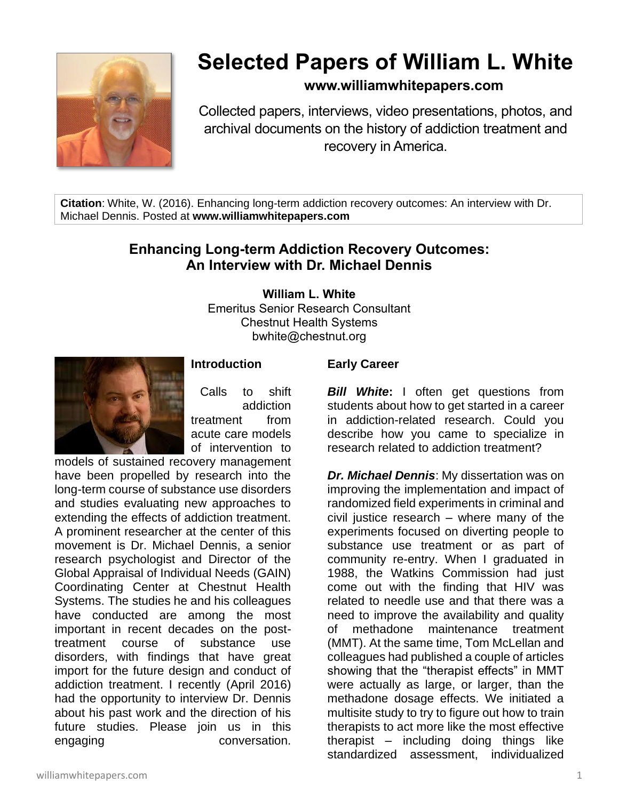

# **Selected Papers of William L. White**

## **www.williamwhitepapers.com**

Collected papers, interviews, video presentations, photos, and archival documents on the history of addiction treatment and recovery in America.

**Citation**: White, W. (2016). Enhancing long-term addiction recovery outcomes: An interview with Dr. Michael Dennis. Posted at **www.williamwhitepapers.com**

## **Enhancing Long-term Addiction Recovery Outcomes: An Interview with Dr. Michael Dennis**

**William L. White**

Emeritus Senior Research Consultant Chestnut Health Systems bwhite@chestnut.org



## **Introduction**

Calls to shift addiction treatment from acute care models of intervention to

models of sustained recovery management have been propelled by research into the long-term course of substance use disorders and studies evaluating new approaches to extending the effects of addiction treatment. A prominent researcher at the center of this movement is Dr. Michael Dennis, a senior research psychologist and Director of the Global Appraisal of Individual Needs (GAIN) Coordinating Center at Chestnut Health Systems. The studies he and his colleagues have conducted are among the most important in recent decades on the posttreatment course of substance use disorders, with findings that have great import for the future design and conduct of addiction treatment. I recently (April 2016) had the opportunity to interview Dr. Dennis about his past work and the direction of his future studies. Please join us in this engaging conversation.

## **Early Career**

*Bill White***:** I often get questions from students about how to get started in a career in addiction-related research. Could you describe how you came to specialize in research related to addiction treatment?

*Dr. Michael Dennis*: My dissertation was on improving the implementation and impact of randomized field experiments in criminal and civil justice research – where many of the experiments focused on diverting people to substance use treatment or as part of community re-entry. When I graduated in 1988, the Watkins Commission had just come out with the finding that HIV was related to needle use and that there was a need to improve the availability and quality of methadone maintenance treatment (MMT). At the same time, Tom McLellan and colleagues had published a couple of articles showing that the "therapist effects" in MMT were actually as large, or larger, than the methadone dosage effects. We initiated a multisite study to try to figure out how to train therapists to act more like the most effective therapist – including doing things like standardized assessment, individualized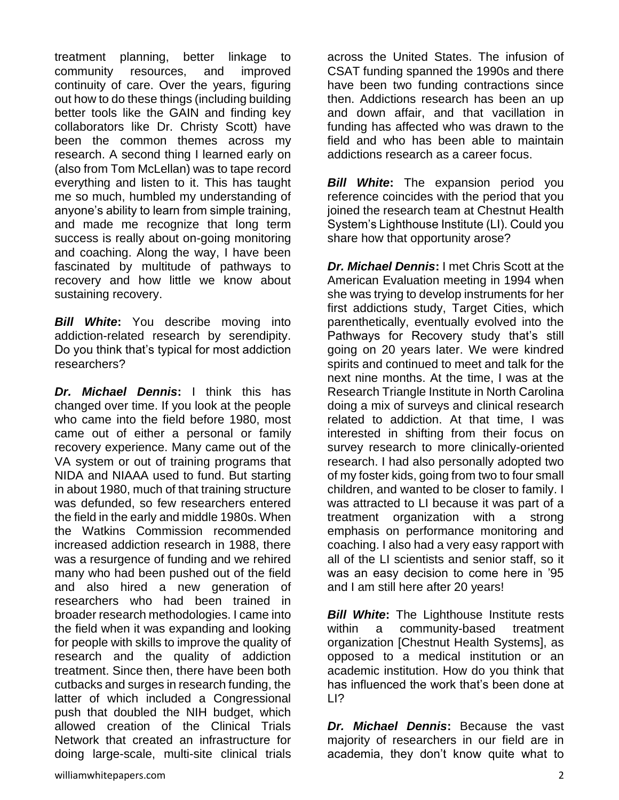treatment planning, better linkage to community resources, and improved continuity of care. Over the years, figuring out how to do these things (including building better tools like the GAIN and finding key collaborators like Dr. Christy Scott) have been the common themes across my research. A second thing I learned early on (also from Tom McLellan) was to tape record everything and listen to it. This has taught me so much, humbled my understanding of anyone's ability to learn from simple training, and made me recognize that long term success is really about on-going monitoring and coaching. Along the way, I have been fascinated by multitude of pathways to recovery and how little we know about sustaining recovery.

*Bill White***:** You describe moving into addiction-related research by serendipity. Do you think that's typical for most addiction researchers?

*Dr. Michael Dennis***:** I think this has changed over time. If you look at the people who came into the field before 1980, most came out of either a personal or family recovery experience. Many came out of the VA system or out of training programs that NIDA and NIAAA used to fund. But starting in about 1980, much of that training structure was defunded, so few researchers entered the field in the early and middle 1980s. When the Watkins Commission recommended increased addiction research in 1988, there was a resurgence of funding and we rehired many who had been pushed out of the field and also hired a new generation of researchers who had been trained in broader research methodologies. I came into the field when it was expanding and looking for people with skills to improve the quality of research and the quality of addiction treatment. Since then, there have been both cutbacks and surges in research funding, the latter of which included a Congressional push that doubled the NIH budget, which allowed creation of the Clinical Trials Network that created an infrastructure for doing large-scale, multi-site clinical trials

across the United States. The infusion of CSAT funding spanned the 1990s and there have been two funding contractions since then. Addictions research has been an up and down affair, and that vacillation in funding has affected who was drawn to the field and who has been able to maintain addictions research as a career focus.

*Bill White***:** The expansion period you reference coincides with the period that you joined the research team at Chestnut Health System's Lighthouse Institute (LI). Could you share how that opportunity arose?

*Dr. Michael Dennis*: I met Chris Scott at the American Evaluation meeting in 1994 when she was trying to develop instruments for her first addictions study, Target Cities, which parenthetically, eventually evolved into the Pathways for Recovery study that's still going on 20 years later. We were kindred spirits and continued to meet and talk for the next nine months. At the time, I was at the Research Triangle Institute in North Carolina doing a mix of surveys and clinical research related to addiction. At that time, I was interested in shifting from their focus on survey research to more clinically-oriented research. I had also personally adopted two of my foster kids, going from two to four small children, and wanted to be closer to family. I was attracted to LI because it was part of a treatment organization with a strong emphasis on performance monitoring and coaching. I also had a very easy rapport with all of the LI scientists and senior staff, so it was an easy decision to come here in '95 and I am still here after 20 years!

*Bill White*: The Lighthouse Institute rests within a community-based treatment organization [Chestnut Health Systems], as opposed to a medical institution or an academic institution. How do you think that has influenced the work that's been done at LI?

*Dr. Michael Dennis***:** Because the vast majority of researchers in our field are in academia, they don't know quite what to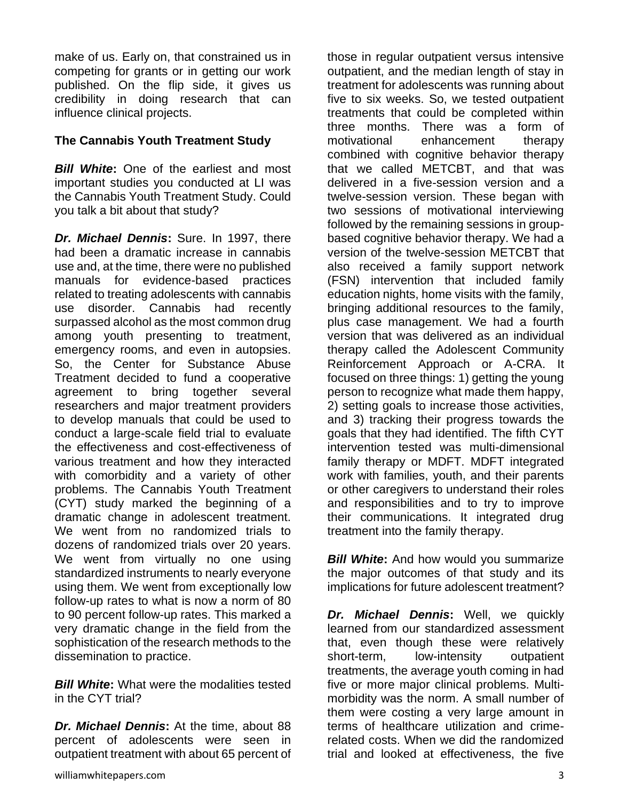make of us. Early on, that constrained us in competing for grants or in getting our work published. On the flip side, it gives us credibility in doing research that can influence clinical projects.

## **The Cannabis Youth Treatment Study**

**Bill White:** One of the earliest and most important studies you conducted at LI was the Cannabis Youth Treatment Study. Could you talk a bit about that study?

*Dr. Michael Dennis***:** Sure. In 1997, there had been a dramatic increase in cannabis use and, at the time, there were no published manuals for evidence-based practices related to treating adolescents with cannabis use disorder. Cannabis had recently surpassed alcohol as the most common drug among youth presenting to treatment, emergency rooms, and even in autopsies. So, the Center for Substance Abuse Treatment decided to fund a cooperative agreement to bring together several researchers and major treatment providers to develop manuals that could be used to conduct a large-scale field trial to evaluate the effectiveness and cost-effectiveness of various treatment and how they interacted with comorbidity and a variety of other problems. The Cannabis Youth Treatment (CYT) study marked the beginning of a dramatic change in adolescent treatment. We went from no randomized trials to dozens of randomized trials over 20 years. We went from virtually no one using standardized instruments to nearly everyone using them. We went from exceptionally low follow-up rates to what is now a norm of 80 to 90 percent follow-up rates. This marked a very dramatic change in the field from the sophistication of the research methods to the dissemination to practice.

*Bill White***:** What were the modalities tested in the CYT trial?

*Dr. Michael Dennis***:** At the time, about 88 percent of adolescents were seen in outpatient treatment with about 65 percent of those in regular outpatient versus intensive outpatient, and the median length of stay in treatment for adolescents was running about five to six weeks. So, we tested outpatient treatments that could be completed within three months. There was a form of motivational enhancement therapy combined with cognitive behavior therapy that we called METCBT, and that was delivered in a five-session version and a twelve-session version. These began with two sessions of motivational interviewing followed by the remaining sessions in groupbased cognitive behavior therapy. We had a version of the twelve-session METCBT that also received a family support network (FSN) intervention that included family education nights, home visits with the family, bringing additional resources to the family, plus case management. We had a fourth version that was delivered as an individual therapy called the Adolescent Community Reinforcement Approach or A-CRA. It focused on three things: 1) getting the young person to recognize what made them happy, 2) setting goals to increase those activities, and 3) tracking their progress towards the goals that they had identified. The fifth CYT intervention tested was multi-dimensional family therapy or MDFT. MDFT integrated work with families, youth, and their parents or other caregivers to understand their roles and responsibilities and to try to improve their communications. It integrated drug treatment into the family therapy.

**Bill White:** And how would you summarize the major outcomes of that study and its implications for future adolescent treatment?

*Dr. Michael Dennis***:** Well, we quickly learned from our standardized assessment that, even though these were relatively short-term, low-intensity outpatient treatments, the average youth coming in had five or more major clinical problems. Multimorbidity was the norm. A small number of them were costing a very large amount in terms of healthcare utilization and crimerelated costs. When we did the randomized trial and looked at effectiveness, the five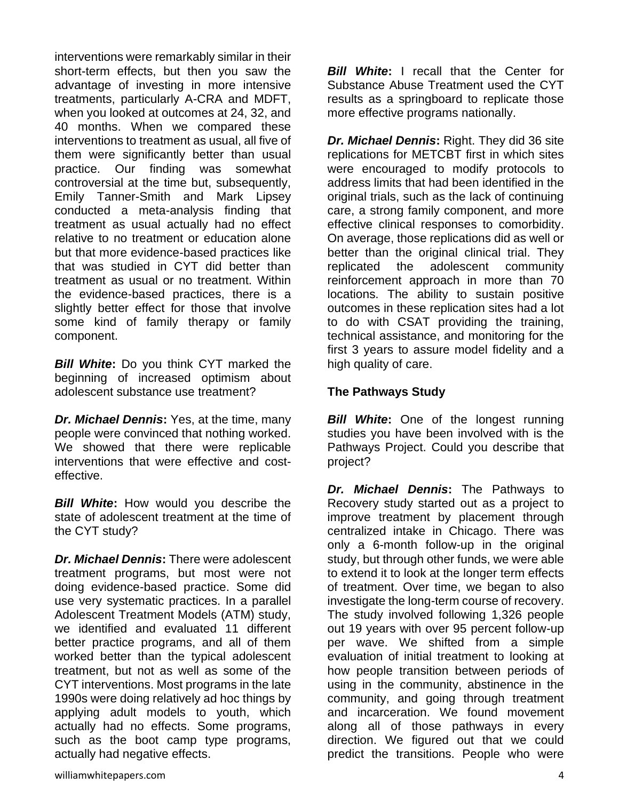interventions were remarkably similar in their short-term effects, but then you saw the advantage of investing in more intensive treatments, particularly A-CRA and MDFT, when you looked at outcomes at 24, 32, and 40 months. When we compared these interventions to treatment as usual, all five of them were significantly better than usual practice. Our finding was somewhat controversial at the time but, subsequently, Emily Tanner-Smith and Mark Lipsey conducted a meta-analysis finding that treatment as usual actually had no effect relative to no treatment or education alone but that more evidence-based practices like that was studied in CYT did better than treatment as usual or no treatment. Within the evidence-based practices, there is a slightly better effect for those that involve some kind of family therapy or family component.

*Bill White***:** Do you think CYT marked the beginning of increased optimism about adolescent substance use treatment?

*Dr. Michael Dennis***:** Yes, at the time, many people were convinced that nothing worked. We showed that there were replicable interventions that were effective and costeffective.

*Bill White***:** How would you describe the state of adolescent treatment at the time of the CYT study?

*Dr. Michael Dennis***:** There were adolescent treatment programs, but most were not doing evidence-based practice. Some did use very systematic practices. In a parallel Adolescent Treatment Models (ATM) study, we identified and evaluated 11 different better practice programs, and all of them worked better than the typical adolescent treatment, but not as well as some of the CYT interventions. Most programs in the late 1990s were doing relatively ad hoc things by applying adult models to youth, which actually had no effects. Some programs, such as the boot camp type programs, actually had negative effects.

*Bill White***:** I recall that the Center for Substance Abuse Treatment used the CYT results as a springboard to replicate those more effective programs nationally.

*Dr. Michael Dennis***:** Right. They did 36 site replications for METCBT first in which sites were encouraged to modify protocols to address limits that had been identified in the original trials, such as the lack of continuing care, a strong family component, and more effective clinical responses to comorbidity. On average, those replications did as well or better than the original clinical trial. They replicated the adolescent community reinforcement approach in more than 70 locations. The ability to sustain positive outcomes in these replication sites had a lot to do with CSAT providing the training, technical assistance, and monitoring for the first 3 years to assure model fidelity and a high quality of care.

## **The Pathways Study**

*Bill White*: One of the longest running studies you have been involved with is the Pathways Project. Could you describe that project?

*Dr. Michael Dennis***:** The Pathways to Recovery study started out as a project to improve treatment by placement through centralized intake in Chicago. There was only a 6-month follow-up in the original study, but through other funds, we were able to extend it to look at the longer term effects of treatment. Over time, we began to also investigate the long-term course of recovery. The study involved following 1,326 people out 19 years with over 95 percent follow-up per wave. We shifted from a simple evaluation of initial treatment to looking at how people transition between periods of using in the community, abstinence in the community, and going through treatment and incarceration. We found movement along all of those pathways in every direction. We figured out that we could predict the transitions. People who were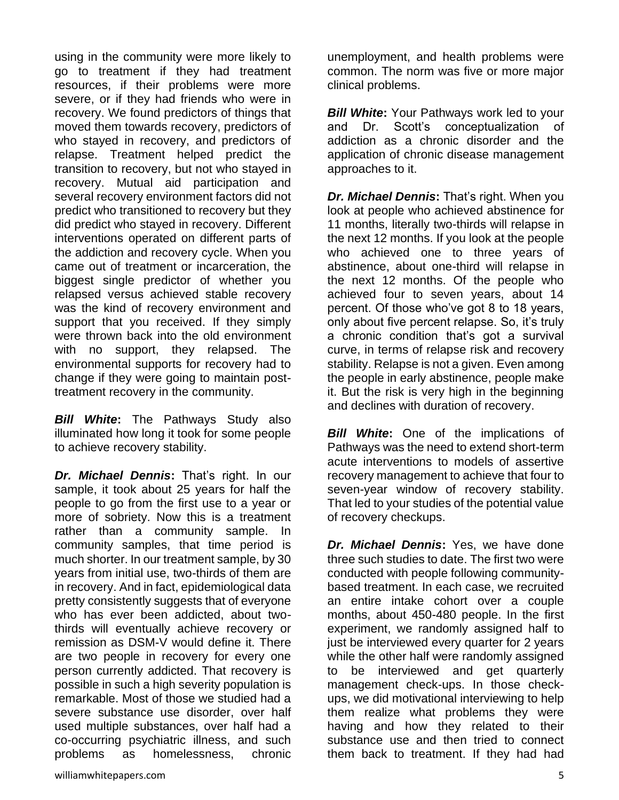using in the community were more likely to go to treatment if they had treatment resources, if their problems were more severe, or if they had friends who were in recovery. We found predictors of things that moved them towards recovery, predictors of who stayed in recovery, and predictors of relapse. Treatment helped predict the transition to recovery, but not who stayed in recovery. Mutual aid participation and several recovery environment factors did not predict who transitioned to recovery but they did predict who stayed in recovery. Different interventions operated on different parts of the addiction and recovery cycle. When you came out of treatment or incarceration, the biggest single predictor of whether you relapsed versus achieved stable recovery was the kind of recovery environment and support that you received. If they simply were thrown back into the old environment with no support, they relapsed. The environmental supports for recovery had to change if they were going to maintain posttreatment recovery in the community.

*Bill White***:** The Pathways Study also illuminated how long it took for some people to achieve recovery stability.

*Dr. Michael Dennis***:** That's right. In our sample, it took about 25 years for half the people to go from the first use to a year or more of sobriety. Now this is a treatment rather than a community sample. In community samples, that time period is much shorter. In our treatment sample, by 30 years from initial use, two-thirds of them are in recovery. And in fact, epidemiological data pretty consistently suggests that of everyone who has ever been addicted, about twothirds will eventually achieve recovery or remission as DSM-V would define it. There are two people in recovery for every one person currently addicted. That recovery is possible in such a high severity population is remarkable. Most of those we studied had a severe substance use disorder, over half used multiple substances, over half had a co-occurring psychiatric illness, and such problems as homelessness, chronic

unemployment, and health problems were common. The norm was five or more major clinical problems.

*Bill White***:** Your Pathways work led to your and Dr. Scott's conceptualization of addiction as a chronic disorder and the application of chronic disease management approaches to it.

*Dr. Michael Dennis***:** That's right. When you look at people who achieved abstinence for 11 months, literally two-thirds will relapse in the next 12 months. If you look at the people who achieved one to three years of abstinence, about one-third will relapse in the next 12 months. Of the people who achieved four to seven years, about 14 percent. Of those who've got 8 to 18 years, only about five percent relapse. So, it's truly a chronic condition that's got a survival curve, in terms of relapse risk and recovery stability. Relapse is not a given. Even among the people in early abstinence, people make it. But the risk is very high in the beginning and declines with duration of recovery.

*Bill White***:** One of the implications of Pathways was the need to extend short-term acute interventions to models of assertive recovery management to achieve that four to seven-year window of recovery stability. That led to your studies of the potential value of recovery checkups.

*Dr. Michael Dennis***:** Yes, we have done three such studies to date. The first two were conducted with people following communitybased treatment. In each case, we recruited an entire intake cohort over a couple months, about 450-480 people. In the first experiment, we randomly assigned half to just be interviewed every quarter for 2 years while the other half were randomly assigned to be interviewed and get quarterly management check-ups. In those checkups, we did motivational interviewing to help them realize what problems they were having and how they related to their substance use and then tried to connect them back to treatment. If they had had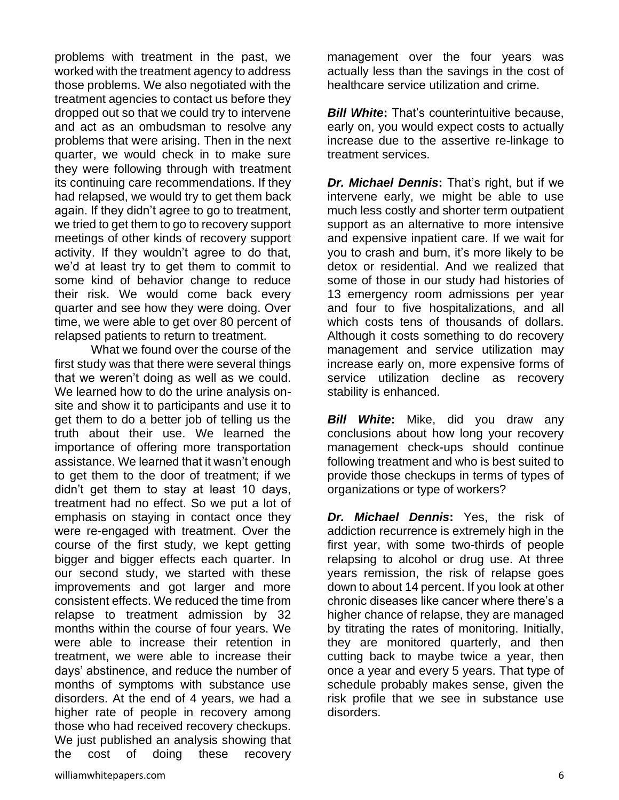problems with treatment in the past, we worked with the treatment agency to address those problems. We also negotiated with the treatment agencies to contact us before they dropped out so that we could try to intervene and act as an ombudsman to resolve any problems that were arising. Then in the next quarter, we would check in to make sure they were following through with treatment its continuing care recommendations. If they had relapsed, we would try to get them back again. If they didn't agree to go to treatment, we tried to get them to go to recovery support meetings of other kinds of recovery support activity. If they wouldn't agree to do that, we'd at least try to get them to commit to some kind of behavior change to reduce their risk. We would come back every quarter and see how they were doing. Over time, we were able to get over 80 percent of relapsed patients to return to treatment.

What we found over the course of the first study was that there were several things that we weren't doing as well as we could. We learned how to do the urine analysis onsite and show it to participants and use it to get them to do a better job of telling us the truth about their use. We learned the importance of offering more transportation assistance. We learned that it wasn't enough to get them to the door of treatment; if we didn't get them to stay at least 10 days, treatment had no effect. So we put a lot of emphasis on staying in contact once they were re-engaged with treatment. Over the course of the first study, we kept getting bigger and bigger effects each quarter. In our second study, we started with these improvements and got larger and more consistent effects. We reduced the time from relapse to treatment admission by 32 months within the course of four years. We were able to increase their retention in treatment, we were able to increase their days' abstinence, and reduce the number of months of symptoms with substance use disorders. At the end of 4 years, we had a higher rate of people in recovery among those who had received recovery checkups. We just published an analysis showing that the cost of doing these recovery

management over the four years was actually less than the savings in the cost of healthcare service utilization and crime.

*Bill White***:** That's counterintuitive because, early on, you would expect costs to actually increase due to the assertive re-linkage to treatment services.

*Dr. Michael Dennis***:** That's right, but if we intervene early, we might be able to use much less costly and shorter term outpatient support as an alternative to more intensive and expensive inpatient care. If we wait for you to crash and burn, it's more likely to be detox or residential. And we realized that some of those in our study had histories of 13 emergency room admissions per year and four to five hospitalizations, and all which costs tens of thousands of dollars. Although it costs something to do recovery management and service utilization may increase early on, more expensive forms of service utilization decline as recovery stability is enhanced.

*Bill White***:** Mike, did you draw any conclusions about how long your recovery management check-ups should continue following treatment and who is best suited to provide those checkups in terms of types of organizations or type of workers?

*Dr. Michael Dennis***:** Yes, the risk of addiction recurrence is extremely high in the first year, with some two-thirds of people relapsing to alcohol or drug use. At three years remission, the risk of relapse goes down to about 14 percent. If you look at other chronic diseases like cancer where there's a higher chance of relapse, they are managed by titrating the rates of monitoring. Initially, they are monitored quarterly, and then cutting back to maybe twice a year, then once a year and every 5 years. That type of schedule probably makes sense, given the risk profile that we see in substance use disorders.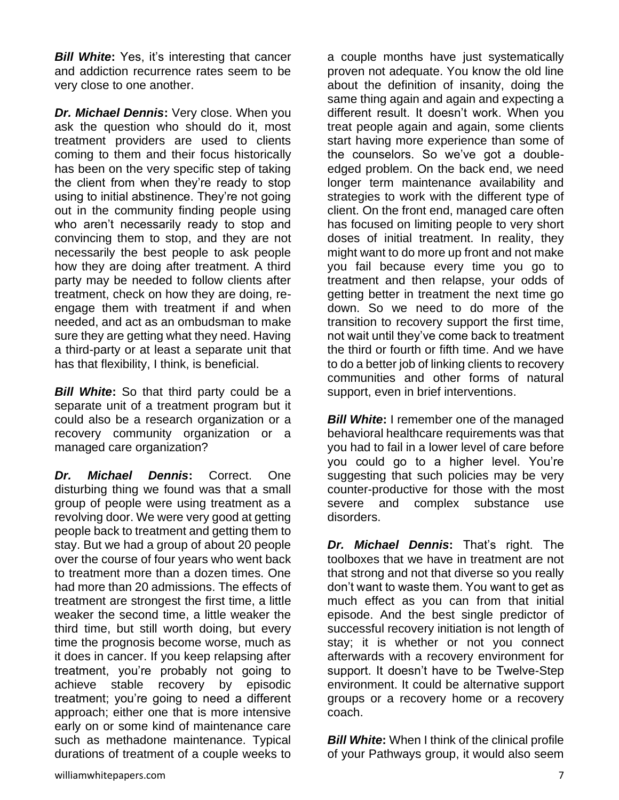*Bill White***:** Yes, it's interesting that cancer and addiction recurrence rates seem to be very close to one another.

*Dr. Michael Dennis***:** Very close. When you ask the question who should do it, most treatment providers are used to clients coming to them and their focus historically has been on the very specific step of taking the client from when they're ready to stop using to initial abstinence. They're not going out in the community finding people using who aren't necessarily ready to stop and convincing them to stop, and they are not necessarily the best people to ask people how they are doing after treatment. A third party may be needed to follow clients after treatment, check on how they are doing, reengage them with treatment if and when needed, and act as an ombudsman to make sure they are getting what they need. Having a third-party or at least a separate unit that has that flexibility, I think, is beneficial.

*Bill White***:** So that third party could be a separate unit of a treatment program but it could also be a research organization or a recovery community organization or a managed care organization?

*Dr. Michael Dennis***:** Correct. One disturbing thing we found was that a small group of people were using treatment as a revolving door. We were very good at getting people back to treatment and getting them to stay. But we had a group of about 20 people over the course of four years who went back to treatment more than a dozen times. One had more than 20 admissions. The effects of treatment are strongest the first time, a little weaker the second time, a little weaker the third time, but still worth doing, but every time the prognosis become worse, much as it does in cancer. If you keep relapsing after treatment, you're probably not going to achieve stable recovery by episodic treatment; you're going to need a different approach; either one that is more intensive early on or some kind of maintenance care such as methadone maintenance. Typical durations of treatment of a couple weeks to

a couple months have just systematically proven not adequate. You know the old line about the definition of insanity, doing the same thing again and again and expecting a different result. It doesn't work. When you treat people again and again, some clients start having more experience than some of the counselors. So we've got a doubleedged problem. On the back end, we need longer term maintenance availability and strategies to work with the different type of client. On the front end, managed care often has focused on limiting people to very short doses of initial treatment. In reality, they might want to do more up front and not make you fail because every time you go to treatment and then relapse, your odds of getting better in treatment the next time go down. So we need to do more of the transition to recovery support the first time, not wait until they've come back to treatment the third or fourth or fifth time. And we have to do a better job of linking clients to recovery communities and other forms of natural support, even in brief interventions.

**Bill White:** I remember one of the managed behavioral healthcare requirements was that you had to fail in a lower level of care before you could go to a higher level. You're suggesting that such policies may be very counter-productive for those with the most severe and complex substance use disorders.

*Dr. Michael Dennis***:** That's right. The toolboxes that we have in treatment are not that strong and not that diverse so you really don't want to waste them. You want to get as much effect as you can from that initial episode. And the best single predictor of successful recovery initiation is not length of stay; it is whether or not you connect afterwards with a recovery environment for support. It doesn't have to be Twelve-Step environment. It could be alternative support groups or a recovery home or a recovery coach.

*Bill White***:** When I think of the clinical profile of your Pathways group, it would also seem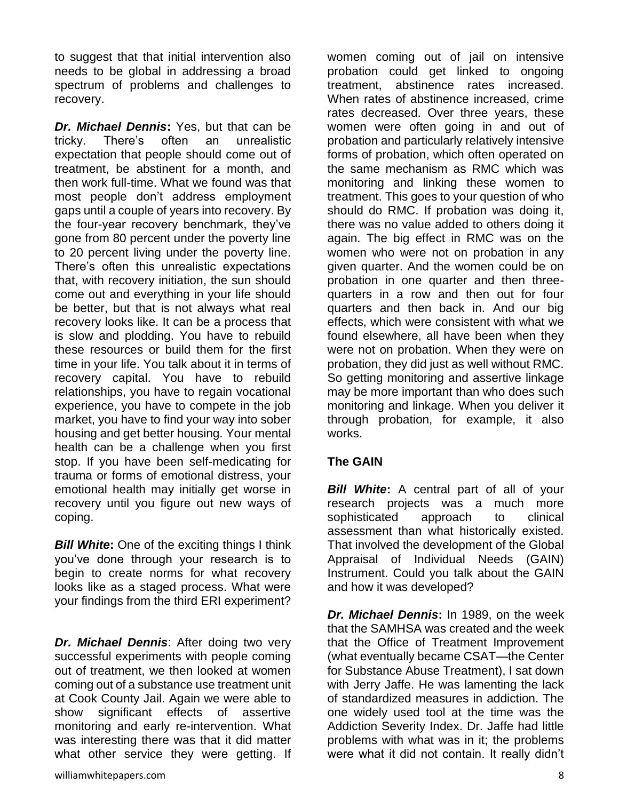to suggest that that initial intervention also needs to be global in addressing a broad spectrum of problems and challenges to recovery.

*Dr. Michael Dennis***:** Yes, but that can be tricky. There's often an unrealistic expectation that people should come out of treatment, be abstinent for a month, and then work full-time. What we found was that most people don't address employment gaps until a couple of years into recovery. By the four-year recovery benchmark, they've gone from 80 percent under the poverty line to 20 percent living under the poverty line. There's often this unrealistic expectations that, with recovery initiation, the sun should come out and everything in your life should be better, but that is not always what real recovery looks like. It can be a process that is slow and plodding. You have to rebuild these resources or build them for the first time in your life. You talk about it in terms of recovery capital. You have to rebuild relationships, you have to regain vocational experience, you have to compete in the job market, you have to find your way into sober housing and get better housing. Your mental health can be a challenge when you first stop. If you have been self-medicating for trauma or forms of emotional distress, your emotional health may initially get worse in recovery until you figure out new ways of coping.

**Bill White:** One of the exciting things I think you've done through your research is to begin to create norms for what recovery looks like as a staged process. What were your findings from the third ERI experiment?

*Dr. Michael Dennis*: After doing two very successful experiments with people coming out of treatment, we then looked at women coming out of a substance use treatment unit at Cook County Jail. Again we were able to show significant effects of assertive monitoring and early re-intervention. What was interesting there was that it did matter what other service they were getting. If

women coming out of jail on intensive probation could get linked to ongoing treatment, abstinence rates increased. When rates of abstinence increased, crime rates decreased. Over three years, these women were often going in and out of probation and particularly relatively intensive forms of probation, which often operated on the same mechanism as RMC which was monitoring and linking these women to treatment. This goes to your question of who should do RMC. If probation was doing it, there was no value added to others doing it again. The big effect in RMC was on the women who were not on probation in any given quarter. And the women could be on probation in one quarter and then threequarters in a row and then out for four quarters and then back in. And our big effects, which were consistent with what we found elsewhere, all have been when they were not on probation. When they were on probation, they did just as well without RMC. So getting monitoring and assertive linkage may be more important than who does such monitoring and linkage. When you deliver it through probation, for example, it also works.

## **The GAIN**

*Bill White***:** A central part of all of your research projects was a much more sophisticated approach to clinical assessment than what historically existed. That involved the development of the Global Appraisal of Individual Needs (GAIN) Instrument. Could you talk about the GAIN and how it was developed?

*Dr. Michael Dennis***:** In 1989, on the week that the SAMHSA was created and the week that the Office of Treatment Improvement (what eventually became CSAT—the Center for Substance Abuse Treatment), I sat down with Jerry Jaffe. He was lamenting the lack of standardized measures in addiction. The one widely used tool at the time was the Addiction Severity Index. Dr. Jaffe had little problems with what was in it; the problems were what it did not contain. It really didn't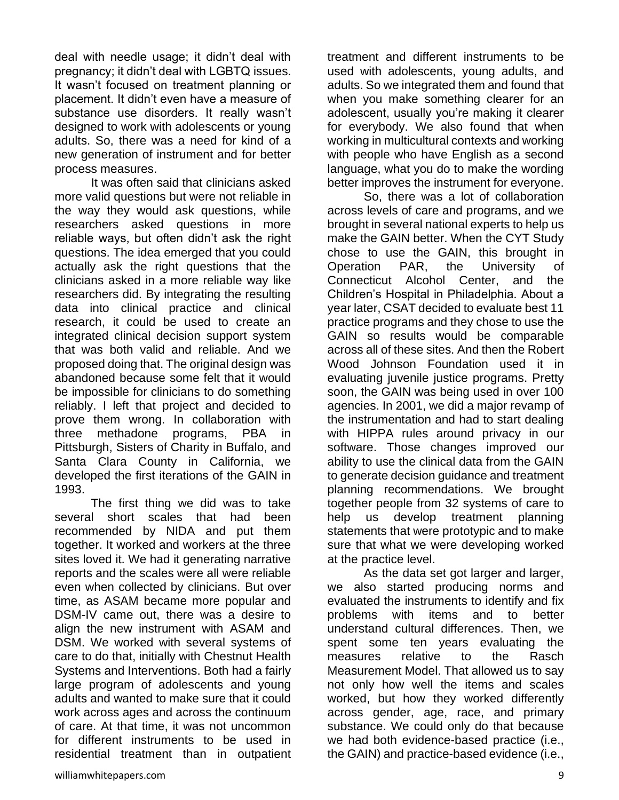deal with needle usage; it didn't deal with pregnancy; it didn't deal with LGBTQ issues. It wasn't focused on treatment planning or placement. It didn't even have a measure of substance use disorders. It really wasn't designed to work with adolescents or young adults. So, there was a need for kind of a new generation of instrument and for better process measures.

It was often said that clinicians asked more valid questions but were not reliable in the way they would ask questions, while researchers asked questions in more reliable ways, but often didn't ask the right questions. The idea emerged that you could actually ask the right questions that the clinicians asked in a more reliable way like researchers did. By integrating the resulting data into clinical practice and clinical research, it could be used to create an integrated clinical decision support system that was both valid and reliable. And we proposed doing that. The original design was abandoned because some felt that it would be impossible for clinicians to do something reliably. I left that project and decided to prove them wrong. In collaboration with three methadone programs, PBA in Pittsburgh, Sisters of Charity in Buffalo, and Santa Clara County in California, we developed the first iterations of the GAIN in 1993.

The first thing we did was to take several short scales that had been recommended by NIDA and put them together. It worked and workers at the three sites loved it. We had it generating narrative reports and the scales were all were reliable even when collected by clinicians. But over time, as ASAM became more popular and DSM-IV came out, there was a desire to align the new instrument with ASAM and DSM. We worked with several systems of care to do that, initially with Chestnut Health Systems and Interventions. Both had a fairly large program of adolescents and young adults and wanted to make sure that it could work across ages and across the continuum of care. At that time, it was not uncommon for different instruments to be used in residential treatment than in outpatient

treatment and different instruments to be used with adolescents, young adults, and adults. So we integrated them and found that when you make something clearer for an adolescent, usually you're making it clearer for everybody. We also found that when working in multicultural contexts and working with people who have English as a second language, what you do to make the wording better improves the instrument for everyone.

So, there was a lot of collaboration across levels of care and programs, and we brought in several national experts to help us make the GAIN better. When the CYT Study chose to use the GAIN, this brought in Operation PAR, the University of Connecticut Alcohol Center, and the Children's Hospital in Philadelphia. About a year later, CSAT decided to evaluate best 11 practice programs and they chose to use the GAIN so results would be comparable across all of these sites. And then the Robert Wood Johnson Foundation used it in evaluating juvenile justice programs. Pretty soon, the GAIN was being used in over 100 agencies. In 2001, we did a major revamp of the instrumentation and had to start dealing with HIPPA rules around privacy in our software. Those changes improved our ability to use the clinical data from the GAIN to generate decision guidance and treatment planning recommendations. We brought together people from 32 systems of care to help us develop treatment planning statements that were prototypic and to make sure that what we were developing worked at the practice level.

As the data set got larger and larger, we also started producing norms and evaluated the instruments to identify and fix problems with items and to better understand cultural differences. Then, we spent some ten years evaluating the measures relative to the Rasch Measurement Model. That allowed us to say not only how well the items and scales worked, but how they worked differently across gender, age, race, and primary substance. We could only do that because we had both evidence-based practice (i.e., the GAIN) and practice-based evidence (i.e.,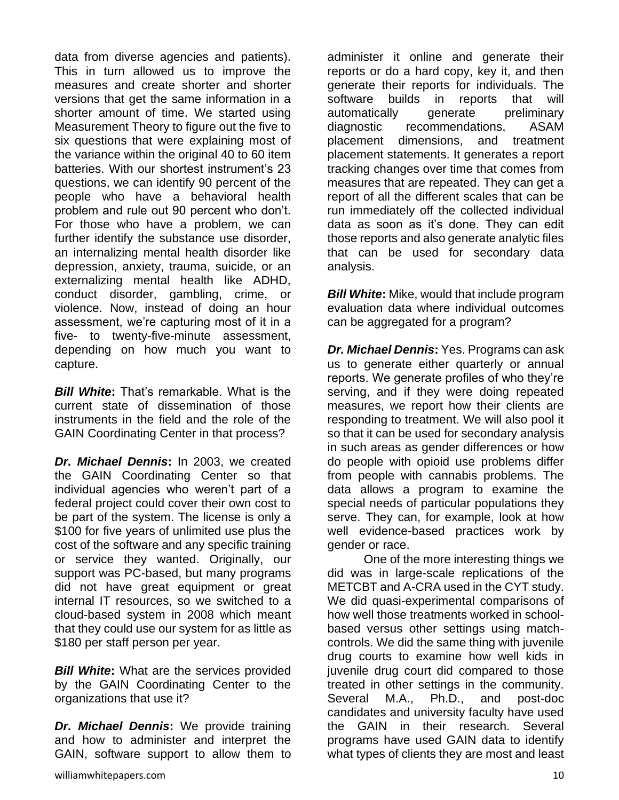data from diverse agencies and patients). This in turn allowed us to improve the measures and create shorter and shorter versions that get the same information in a shorter amount of time. We started using Measurement Theory to figure out the five to six questions that were explaining most of the variance within the original 40 to 60 item batteries. With our shortest instrument's 23 questions, we can identify 90 percent of the people who have a behavioral health problem and rule out 90 percent who don't. For those who have a problem, we can further identify the substance use disorder, an internalizing mental health disorder like depression, anxiety, trauma, suicide, or an externalizing mental health like ADHD, conduct disorder, gambling, crime, or violence. Now, instead of doing an hour assessment, we're capturing most of it in a five- to twenty-five-minute assessment, depending on how much you want to capture.

*Bill White***:** That's remarkable. What is the current state of dissemination of those instruments in the field and the role of the GAIN Coordinating Center in that process?

*Dr. Michael Dennis***:** In 2003, we created the GAIN Coordinating Center so that individual agencies who weren't part of a federal project could cover their own cost to be part of the system. The license is only a \$100 for five years of unlimited use plus the cost of the software and any specific training or service they wanted. Originally, our support was PC-based, but many programs did not have great equipment or great internal IT resources, so we switched to a cloud-based system in 2008 which meant that they could use our system for as little as \$180 per staff person per year.

*Bill White***:** What are the services provided by the GAIN Coordinating Center to the organizations that use it?

*Dr. Michael Dennis***:** We provide training and how to administer and interpret the GAIN, software support to allow them to

administer it online and generate their reports or do a hard copy, key it, and then generate their reports for individuals. The software builds in reports that will automatically generate preliminary diagnostic recommendations, ASAM placement dimensions, and treatment placement statements. It generates a report tracking changes over time that comes from measures that are repeated. They can get a report of all the different scales that can be run immediately off the collected individual data as soon as it's done. They can edit those reports and also generate analytic files that can be used for secondary data analysis.

*Bill White***:** Mike, would that include program evaluation data where individual outcomes can be aggregated for a program?

*Dr. Michael Dennis***:** Yes. Programs can ask us to generate either quarterly or annual reports. We generate profiles of who they're serving, and if they were doing repeated measures, we report how their clients are responding to treatment. We will also pool it so that it can be used for secondary analysis in such areas as gender differences or how do people with opioid use problems differ from people with cannabis problems. The data allows a program to examine the special needs of particular populations they serve. They can, for example, look at how well evidence-based practices work by gender or race.

One of the more interesting things we did was in large-scale replications of the METCBT and A-CRA used in the CYT study. We did quasi-experimental comparisons of how well those treatments worked in schoolbased versus other settings using matchcontrols. We did the same thing with juvenile drug courts to examine how well kids in juvenile drug court did compared to those treated in other settings in the community. Several M.A., Ph.D., and post-doc candidates and university faculty have used the GAIN in their research. Several programs have used GAIN data to identify what types of clients they are most and least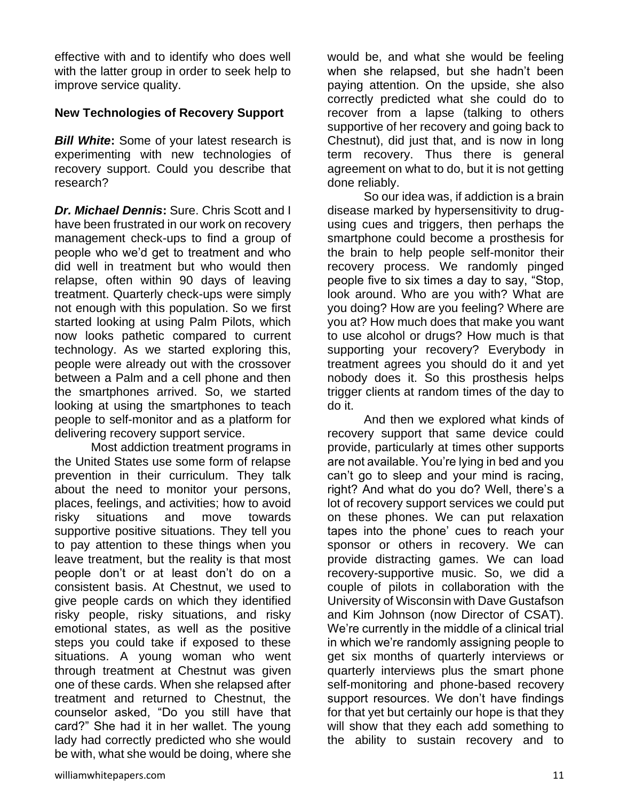effective with and to identify who does well with the latter group in order to seek help to improve service quality.

## **New Technologies of Recovery Support**

*Bill White***:** Some of your latest research is experimenting with new technologies of recovery support. Could you describe that research?

*Dr. Michael Dennis***:** Sure. Chris Scott and I have been frustrated in our work on recovery management check-ups to find a group of people who we'd get to treatment and who did well in treatment but who would then relapse, often within 90 days of leaving treatment. Quarterly check-ups were simply not enough with this population. So we first started looking at using Palm Pilots, which now looks pathetic compared to current technology. As we started exploring this, people were already out with the crossover between a Palm and a cell phone and then the smartphones arrived. So, we started looking at using the smartphones to teach people to self-monitor and as a platform for delivering recovery support service.

Most addiction treatment programs in the United States use some form of relapse prevention in their curriculum. They talk about the need to monitor your persons, places, feelings, and activities; how to avoid risky situations and move towards supportive positive situations. They tell you to pay attention to these things when you leave treatment, but the reality is that most people don't or at least don't do on a consistent basis. At Chestnut, we used to give people cards on which they identified risky people, risky situations, and risky emotional states, as well as the positive steps you could take if exposed to these situations. A young woman who went through treatment at Chestnut was given one of these cards. When she relapsed after treatment and returned to Chestnut, the counselor asked, "Do you still have that card?" She had it in her wallet. The young lady had correctly predicted who she would be with, what she would be doing, where she

would be, and what she would be feeling when she relapsed, but she hadn't been paying attention. On the upside, she also correctly predicted what she could do to recover from a lapse (talking to others supportive of her recovery and going back to Chestnut), did just that, and is now in long term recovery. Thus there is general agreement on what to do, but it is not getting done reliably.

So our idea was, if addiction is a brain disease marked by hypersensitivity to drugusing cues and triggers, then perhaps the smartphone could become a prosthesis for the brain to help people self-monitor their recovery process. We randomly pinged people five to six times a day to say, "Stop, look around. Who are you with? What are you doing? How are you feeling? Where are you at? How much does that make you want to use alcohol or drugs? How much is that supporting your recovery? Everybody in treatment agrees you should do it and yet nobody does it. So this prosthesis helps trigger clients at random times of the day to do it.

And then we explored what kinds of recovery support that same device could provide, particularly at times other supports are not available. You're lying in bed and you can't go to sleep and your mind is racing, right? And what do you do? Well, there's a lot of recovery support services we could put on these phones. We can put relaxation tapes into the phone' cues to reach your sponsor or others in recovery. We can provide distracting games. We can load recovery-supportive music. So, we did a couple of pilots in collaboration with the University of Wisconsin with Dave Gustafson and Kim Johnson (now Director of CSAT). We're currently in the middle of a clinical trial in which we're randomly assigning people to get six months of quarterly interviews or quarterly interviews plus the smart phone self-monitoring and phone-based recovery support resources. We don't have findings for that yet but certainly our hope is that they will show that they each add something to the ability to sustain recovery and to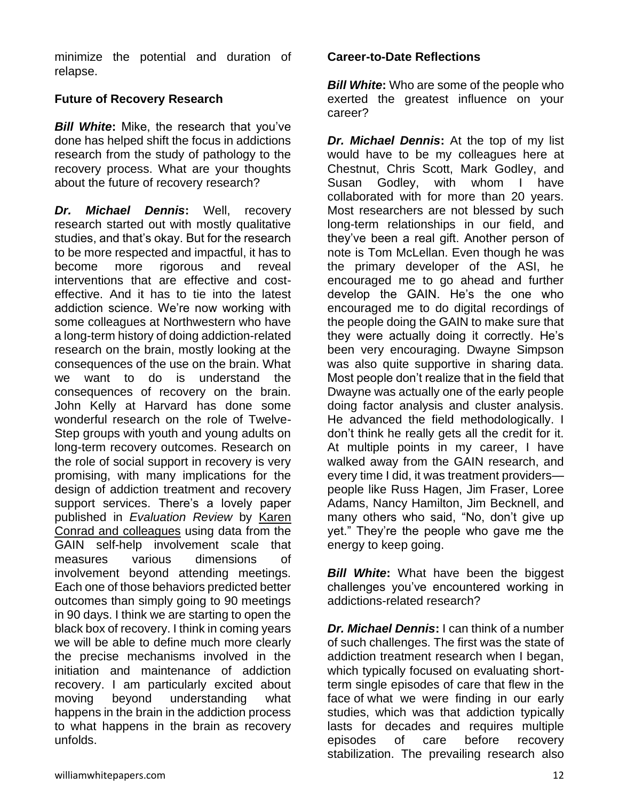minimize the potential and duration of relapse.

## **Future of Recovery Research**

*Bill White***:** Mike, the research that you've done has helped shift the focus in addictions research from the study of pathology to the recovery process. What are your thoughts about the future of recovery research?

*Dr. Michael Dennis***:** Well, recovery research started out with mostly qualitative studies, and that's okay. But for the research to be more respected and impactful, it has to become more rigorous and reveal interventions that are effective and costeffective. And it has to tie into the latest addiction science. We're now working with some colleagues at Northwestern who have a long-term history of doing addiction-related research on the brain, mostly looking at the consequences of the use on the brain. What we want to do is understand the consequences of recovery on the brain. John Kelly at Harvard has done some wonderful research on the role of Twelve-Step groups with youth and young adults on long-term recovery outcomes. Research on the role of social support in recovery is very promising, with many implications for the design of addiction treatment and recovery support services. There's a lovely paper published in *Evaluation Review* by [Karen](http://www.ncbi.nlm.nih.gov/pmc/articles/PMC4591028/)  [Conrad and colleagues](http://www.ncbi.nlm.nih.gov/pmc/articles/PMC4591028/) using data from the GAIN self-help involvement scale that measures various dimensions of involvement beyond attending meetings. Each one of those behaviors predicted better outcomes than simply going to 90 meetings in 90 days. I think we are starting to open the black box of recovery. I think in coming years we will be able to define much more clearly the precise mechanisms involved in the initiation and maintenance of addiction recovery. I am particularly excited about moving beyond understanding what happens in the brain in the addiction process to what happens in the brain as recovery unfolds.

## **Career-to-Date Reflections**

*Bill White***:** Who are some of the people who exerted the greatest influence on your career?

*Dr. Michael Dennis***:** At the top of my list would have to be my colleagues here at Chestnut, Chris Scott, Mark Godley, and Susan Godley, with whom I have collaborated with for more than 20 years. Most researchers are not blessed by such long-term relationships in our field, and they've been a real gift. Another person of note is Tom McLellan. Even though he was the primary developer of the ASI, he encouraged me to go ahead and further develop the GAIN. He's the one who encouraged me to do digital recordings of the people doing the GAIN to make sure that they were actually doing it correctly. He's been very encouraging. Dwayne Simpson was also quite supportive in sharing data. Most people don't realize that in the field that Dwayne was actually one of the early people doing factor analysis and cluster analysis. He advanced the field methodologically. I don't think he really gets all the credit for it. At multiple points in my career, I have walked away from the GAIN research, and every time I did, it was treatment providers people like Russ Hagen, Jim Fraser, Loree Adams, Nancy Hamilton, Jim Becknell, and many others who said, "No, don't give up yet." They're the people who gave me the energy to keep going.

**Bill White:** What have been the biggest challenges you've encountered working in addictions-related research?

*Dr. Michael Dennis*: I can think of a number of such challenges. The first was the state of addiction treatment research when I began, which typically focused on evaluating shortterm single episodes of care that flew in the face of what we were finding in our early studies, which was that addiction typically lasts for decades and requires multiple episodes of care before recovery stabilization. The prevailing research also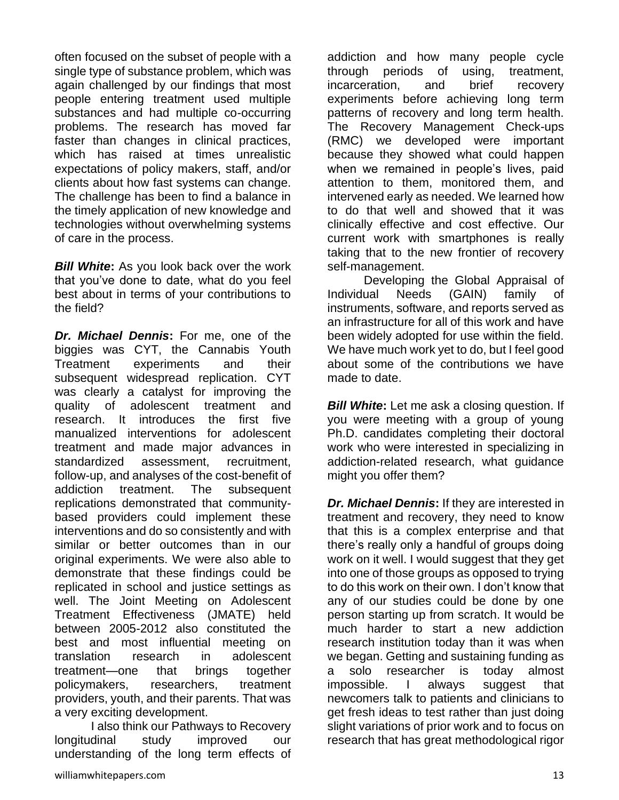often focused on the subset of people with a single type of substance problem, which was again challenged by our findings that most people entering treatment used multiple substances and had multiple co-occurring problems. The research has moved far faster than changes in clinical practices, which has raised at times unrealistic expectations of policy makers, staff, and/or clients about how fast systems can change. The challenge has been to find a balance in the timely application of new knowledge and technologies without overwhelming systems of care in the process.

*Bill White***:** As you look back over the work that you've done to date, what do you feel best about in terms of your contributions to the field?

*Dr. Michael Dennis***:** For me, one of the biggies was CYT, the Cannabis Youth Treatment experiments and their subsequent widespread replication. CYT was clearly a catalyst for improving the quality of adolescent treatment and research. It introduces the first five manualized interventions for adolescent treatment and made major advances in standardized assessment, recruitment, follow-up, and analyses of the cost-benefit of addiction treatment. The subsequent replications demonstrated that communitybased providers could implement these interventions and do so consistently and with similar or better outcomes than in our original experiments. We were also able to demonstrate that these findings could be replicated in school and justice settings as well. The Joint Meeting on Adolescent Treatment Effectiveness (JMATE) held between 2005-2012 also constituted the best and most influential meeting on translation research in adolescent treatment—one that brings together policymakers, researchers, treatment providers, youth, and their parents. That was a very exciting development.

I also think our Pathways to Recovery longitudinal study improved our understanding of the long term effects of

addiction and how many people cycle through periods of using, treatment, incarceration, and brief recovery experiments before achieving long term patterns of recovery and long term health. The Recovery Management Check-ups (RMC) we developed were important because they showed what could happen when we remained in people's lives, paid attention to them, monitored them, and intervened early as needed. We learned how to do that well and showed that it was clinically effective and cost effective. Our current work with smartphones is really taking that to the new frontier of recovery self-management.

Developing the Global Appraisal of Individual Needs (GAIN) family of instruments, software, and reports served as an infrastructure for all of this work and have been widely adopted for use within the field. We have much work yet to do, but I feel good about some of the contributions we have made to date.

*Bill White:* Let me ask a closing question. If you were meeting with a group of young Ph.D. candidates completing their doctoral work who were interested in specializing in addiction-related research, what guidance might you offer them?

*Dr. Michael Dennis***:** If they are interested in treatment and recovery, they need to know that this is a complex enterprise and that there's really only a handful of groups doing work on it well. I would suggest that they get into one of those groups as opposed to trying to do this work on their own. I don't know that any of our studies could be done by one person starting up from scratch. It would be much harder to start a new addiction research institution today than it was when we began. Getting and sustaining funding as a solo researcher is today almost impossible. I always suggest that newcomers talk to patients and clinicians to get fresh ideas to test rather than just doing slight variations of prior work and to focus on research that has great methodological rigor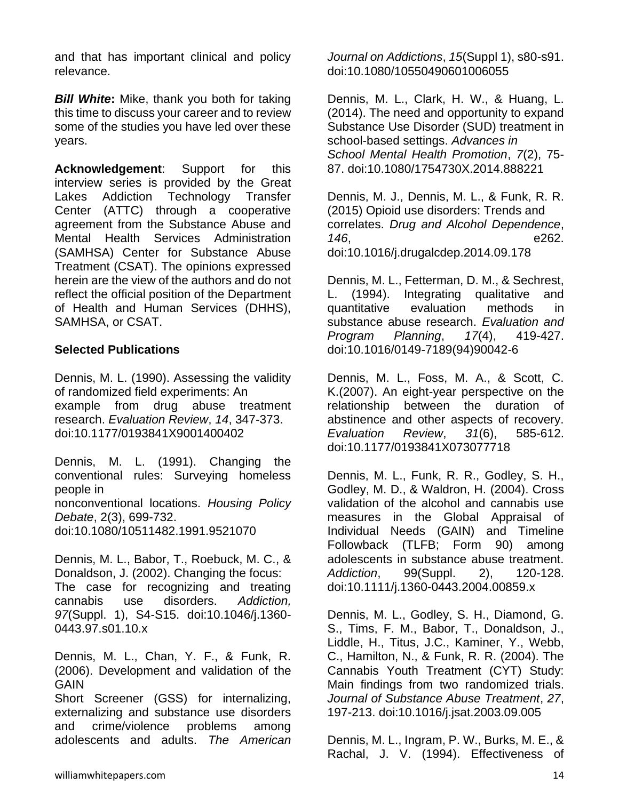and that has important clinical and policy relevance.

*Bill White***:** Mike, thank you both for taking this time to discuss your career and to review some of the studies you have led over these years.

**Acknowledgement**: Support for this interview series is provided by the Great Lakes Addiction Technology Transfer Center (ATTC) through a cooperative agreement from the Substance Abuse and Mental Health Services Administration (SAMHSA) Center for Substance Abuse Treatment (CSAT). The opinions expressed herein are the view of the authors and do not reflect the official position of the Department of Health and Human Services (DHHS), SAMHSA, or CSAT.

## **Selected Publications**

Dennis, M. L. (1990). Assessing the validity of randomized field experiments: An example from drug abuse treatment research. *Evaluation Review*, *14*, 347-373. doi:10.1177/0193841X9001400402

Dennis, M. L. (1991). Changing the conventional rules: Surveying homeless people in nonconventional locations. *Housing Policy Debate*, 2(3), 699-732. doi:10.1080/10511482.1991.9521070

Dennis, M. L., Babor, T., Roebuck, M. C., & Donaldson, J. (2002). Changing the focus: The case for recognizing and treating cannabis use disorders. *Addiction, 97*(Suppl. 1), S4-S15. doi:10.1046/j.1360- 0443.97.s01.10.x

Dennis, M. L., Chan, Y. F., & Funk, R. (2006). Development and validation of the **GAIN** 

Short Screener (GSS) for internalizing, externalizing and substance use disorders and crime/violence problems among adolescents and adults. *The American*  *Journal on Addictions*, *15*(Suppl 1), s80-s91. doi:10.1080/10550490601006055

Dennis, M. L., Clark, H. W., & Huang, L. (2014). The need and opportunity to expand Substance Use Disorder (SUD) treatment in school-based settings. *Advances in School Mental Health Promotion*, *7*(2), 75- 87. doi:10.1080/1754730X.2014.888221

Dennis, M. J., Dennis, M. L., & Funk, R. R. (2015) Opioid use disorders: Trends and correlates. *Drug and Alcohol Dependence*, *146*, e262. doi:10.1016/j.drugalcdep.2014.09.178

Dennis, M. L., Fetterman, D. M., & Sechrest, L. (1994). Integrating qualitative and quantitative evaluation methods in substance abuse research. *Evaluation and Program Planning*, *17*(4), 419-427. doi:10.1016/0149-7189(94)90042-6

Dennis, M. L., Foss, M. A., & Scott, C. K.(2007). An eight-year perspective on the relationship between the duration of abstinence and other aspects of recovery. *Evaluation Review*, *31*(6), 585-612. doi:10.1177/0193841X073077718

Dennis, M. L., Funk, R. R., Godley, S. H., Godley, M. D., & Waldron, H. (2004). Cross validation of the alcohol and cannabis use measures in the Global Appraisal of Individual Needs (GAIN) and Timeline Followback (TLFB; Form 90) among adolescents in substance abuse treatment. *Addiction*, 99(Suppl. 2), 120-128. doi:10.1111/j.1360-0443.2004.00859.x

Dennis, M. L., Godley, S. H., Diamond, G. S., Tims, F. M., Babor, T., Donaldson, J., Liddle, H., Titus, J.C., Kaminer, Y., Webb, C., Hamilton, N., & Funk, R. R. (2004). The Cannabis Youth Treatment (CYT) Study: Main findings from two randomized trials. *Journal of Substance Abuse Treatment*, *27*, 197-213. doi:10.1016/j.jsat.2003.09.005

Dennis, M. L., Ingram, P. W., Burks, M. E., & Rachal, J. V. (1994). Effectiveness of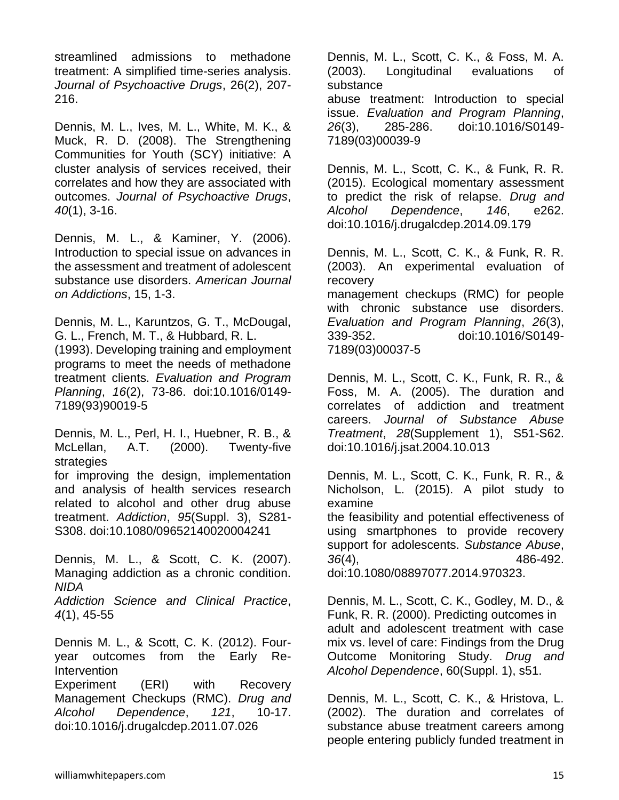streamlined admissions to methadone treatment: A simplified time-series analysis. *Journal of Psychoactive Drugs*, 26(2), 207- 216.

Dennis, M. L., Ives, M. L., White, M. K., & Muck, R. D. (2008). The Strengthening Communities for Youth (SCY) initiative: A cluster analysis of services received, their correlates and how they are associated with outcomes. *Journal of Psychoactive Drugs*, *40*(1), 3-16.

Dennis, M. L., & Kaminer, Y. (2006). Introduction to special issue on advances in the assessment and treatment of adolescent substance use disorders. *American Journal on Addictions*, 15, 1-3.

Dennis, M. L., Karuntzos, G. T., McDougal, G. L., French, M. T., & Hubbard, R. L.

(1993). Developing training and employment programs to meet the needs of methadone treatment clients. *Evaluation and Program Planning*, *16*(2), 73-86. doi:10.1016/0149- 7189(93)90019-5

Dennis, M. L., Perl, H. I., Huebner, R. B., & McLellan, A.T. (2000). Twenty-five strategies

for improving the design, implementation and analysis of health services research related to alcohol and other drug abuse treatment. *Addiction*, *95*(Suppl. 3), S281- S308. doi:10.1080/09652140020004241

Dennis, M. L., & Scott, C. K. (2007). Managing addiction as a chronic condition. *NIDA*

*Addiction Science and Clinical Practice*, *4*(1), 45-55

Dennis M. L., & Scott, C. K. (2012). Fouryear outcomes from the Early Re-Intervention

Experiment (ERI) with Recovery Management Checkups (RMC). *Drug and Alcohol Dependence*, *121*, 10-17. doi:10.1016/j.drugalcdep.2011.07.026

Dennis, M. L., Scott, C. K., & Foss, M. A. (2003). Longitudinal evaluations of substance abuse treatment: Introduction to special issue. *Evaluation and Program Planning*, *26*(3), 285-286. doi:10.1016/S0149- 7189(03)00039-9

Dennis, M. L., Scott, C. K., & Funk, R. R. (2015). Ecological momentary assessment to predict the risk of relapse. *Drug and Alcohol Dependence*, *146*, e262. doi:10.1016/j.drugalcdep.2014.09.179

Dennis, M. L., Scott, C. K., & Funk, R. R. (2003). An experimental evaluation of recovery management checkups (RMC) for people with chronic substance use disorders. *Evaluation and Program Planning*, *26*(3), 339-352. doi:10.1016/S0149- 7189(03)00037-5

Dennis, M. L., Scott, C. K., Funk, R. R., & Foss, M. A. (2005). The duration and correlates of addiction and treatment careers. *Journal of Substance Abuse Treatment*, *28*(Supplement 1), S51-S62. doi:10.1016/j.jsat.2004.10.013

Dennis, M. L., Scott, C. K., Funk, R. R., & Nicholson, L. (2015). A pilot study to examine the feasibility and potential effectiveness of

using smartphones to provide recovery support for adolescents. *Substance Abuse*, *36*(4), 486-492. doi:10.1080/08897077.2014.970323.

Dennis, M. L., Scott, C. K., Godley, M. D., & Funk, R. R. (2000). Predicting outcomes in adult and adolescent treatment with case mix vs. level of care: Findings from the Drug Outcome Monitoring Study. *Drug and Alcohol Dependence*, 60(Suppl. 1), s51.

Dennis, M. L., Scott, C. K., & Hristova, L. (2002). The duration and correlates of substance abuse treatment careers among people entering publicly funded treatment in